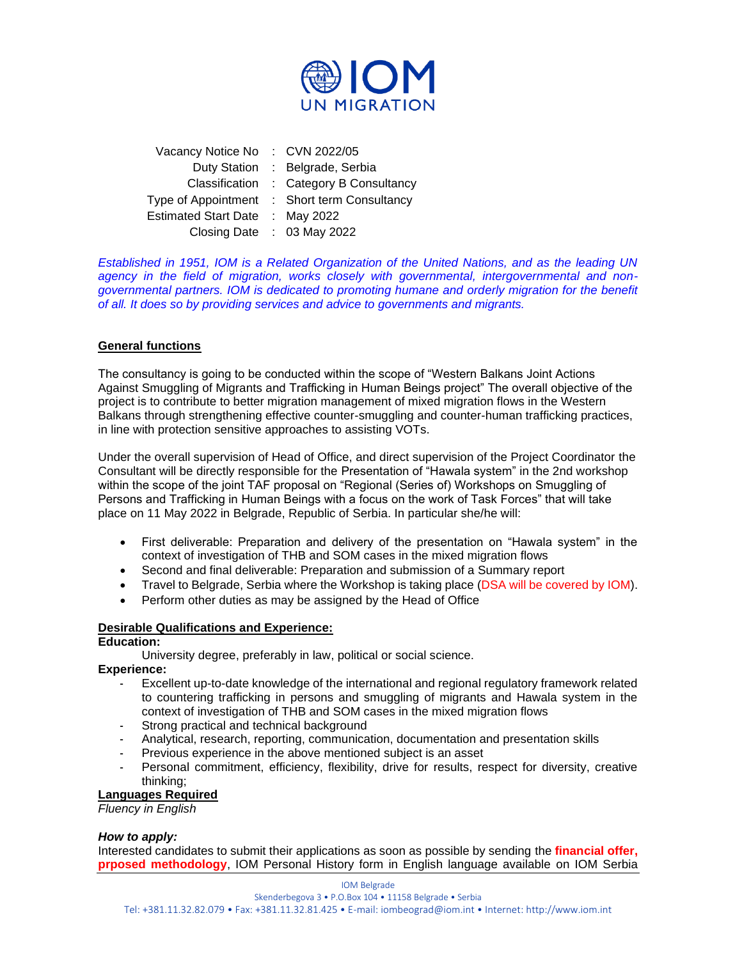

| Vacancy Notice No           | : $CVN 2022/05$            |
|-----------------------------|----------------------------|
| <b>Duty Station</b>         | : Belgrade, Serbia         |
| Classification              | : Category B Consultancy   |
| Type of Appointment         | : Short term Consultancy   |
| <b>Estimated Start Date</b> | : May 2022                 |
|                             | Closing Date : 03 May 2022 |

*Established in 1951, IOM is a Related Organization of the United Nations, and as the leading UN agency in the field of migration, works closely with governmental, intergovernmental and nongovernmental partners. IOM is dedicated to promoting humane and orderly migration for the benefit of all. It does so by providing services and advice to governments and migrants.*

# **General functions**

The consultancy is going to be conducted within the scope of "Western Balkans Joint Actions Against Smuggling of Migrants and Trafficking in Human Beings project" The overall objective of the project is to contribute to better migration management of mixed migration flows in the Western Balkans through strengthening effective counter-smuggling and counter-human trafficking practices, in line with protection sensitive approaches to assisting VOTs.

Under the overall supervision of Head of Office, and direct supervision of the Project Coordinator the Consultant will be directly responsible for the Presentation of "Hawala system" in the 2nd workshop within the scope of the joint TAF proposal on "Regional (Series of) Workshops on Smuggling of Persons and Trafficking in Human Beings with a focus on the work of Task Forces" that will take place on 11 May 2022 in Belgrade, Republic of Serbia. In particular she/he will:

- First deliverable: Preparation and delivery of the presentation on "Hawala system" in the context of investigation of THB and SOM cases in the mixed migration flows
- Second and final deliverable: Preparation and submission of a Summary report
- Travel to Belgrade, Serbia where the Workshop is taking place (DSA will be covered by IOM).
- Perform other duties as may be assigned by the Head of Office

#### **Desirable Qualifications and Experience:**

### **Education:**

University degree, preferably in law, political or social science.

#### **Experience:**

- Excellent up-to-date knowledge of the international and regional regulatory framework related to countering trafficking in persons and smuggling of migrants and Hawala system in the context of investigation of THB and SOM cases in the mixed migration flows
- Strong practical and technical background
- Analytical, research, reporting, communication, documentation and presentation skills
- Previous experience in the above mentioned subject is an asset
- Personal commitment, efficiency, flexibility, drive for results, respect for diversity, creative thinking;

#### **Languages Required**

*Fluency in English*

#### *How to apply:*

Interested candidates to submit their applications as soon as possible by sending the **financial offer, prposed methodology**, IOM Personal History form in English language available on IOM Serbia